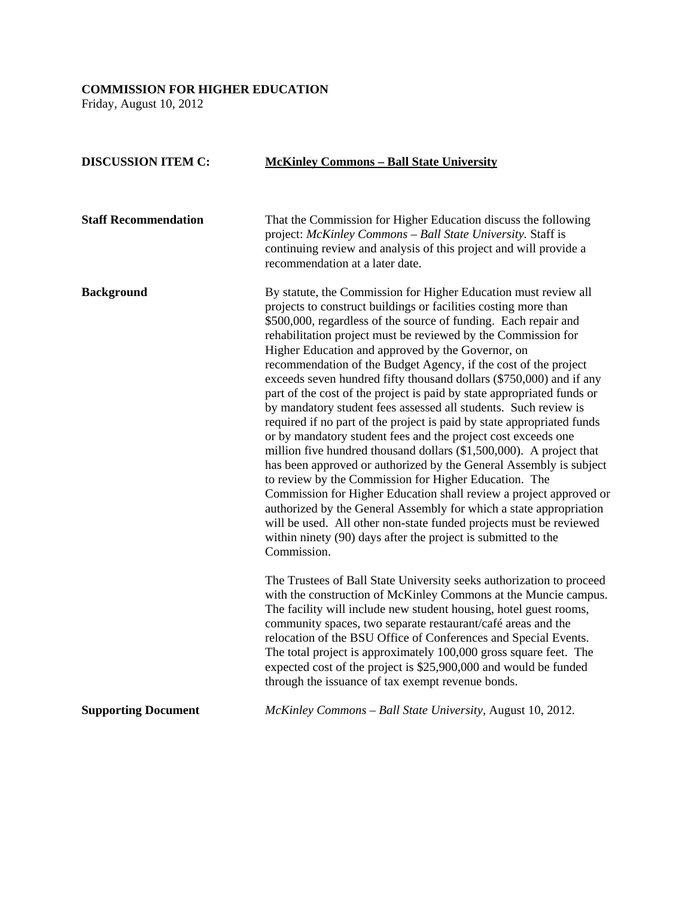## **COMMISSION FOR HIGHER EDUCATION**

Friday, August 10, 2012

| <b>DISCUSSION ITEM C:</b>   | <b>McKinley Commons - Ball State University</b>                                                                                                                                                                                                                                                                                                                                                                                                                                                                                                                                                                                                                                                                                                                                                                                                                                                                                                                                                                                                                                                                                                                                                                                                                          |  |  |
|-----------------------------|--------------------------------------------------------------------------------------------------------------------------------------------------------------------------------------------------------------------------------------------------------------------------------------------------------------------------------------------------------------------------------------------------------------------------------------------------------------------------------------------------------------------------------------------------------------------------------------------------------------------------------------------------------------------------------------------------------------------------------------------------------------------------------------------------------------------------------------------------------------------------------------------------------------------------------------------------------------------------------------------------------------------------------------------------------------------------------------------------------------------------------------------------------------------------------------------------------------------------------------------------------------------------|--|--|
| <b>Staff Recommendation</b> | That the Commission for Higher Education discuss the following<br>project: McKinley Commons - Ball State University. Staff is<br>continuing review and analysis of this project and will provide a<br>recommendation at a later date.                                                                                                                                                                                                                                                                                                                                                                                                                                                                                                                                                                                                                                                                                                                                                                                                                                                                                                                                                                                                                                    |  |  |
| <b>Background</b>           | By statute, the Commission for Higher Education must review all<br>projects to construct buildings or facilities costing more than<br>\$500,000, regardless of the source of funding. Each repair and<br>rehabilitation project must be reviewed by the Commission for<br>Higher Education and approved by the Governor, on<br>recommendation of the Budget Agency, if the cost of the project<br>exceeds seven hundred fifty thousand dollars (\$750,000) and if any<br>part of the cost of the project is paid by state appropriated funds or<br>by mandatory student fees assessed all students. Such review is<br>required if no part of the project is paid by state appropriated funds<br>or by mandatory student fees and the project cost exceeds one<br>million five hundred thousand dollars $(\$1,500,000)$ . A project that<br>has been approved or authorized by the General Assembly is subject<br>to review by the Commission for Higher Education. The<br>Commission for Higher Education shall review a project approved or<br>authorized by the General Assembly for which a state appropriation<br>will be used. All other non-state funded projects must be reviewed<br>within ninety (90) days after the project is submitted to the<br>Commission. |  |  |
|                             | The Trustees of Ball State University seeks authorization to proceed<br>with the construction of McKinley Commons at the Muncie campus.<br>The facility will include new student housing, hotel guest rooms,<br>community spaces, two separate restaurant/café areas and the<br>relocation of the BSU Office of Conferences and Special Events.<br>The total project is approximately 100,000 gross square feet. The<br>expected cost of the project is \$25,900,000 and would be funded<br>through the issuance of tax exempt revenue bonds.                                                                                                                                                                                                                                                                                                                                                                                                                                                                                                                                                                                                                                                                                                                            |  |  |
| <b>Supporting Document</b>  | McKinley Commons - Ball State University, August 10, 2012.                                                                                                                                                                                                                                                                                                                                                                                                                                                                                                                                                                                                                                                                                                                                                                                                                                                                                                                                                                                                                                                                                                                                                                                                               |  |  |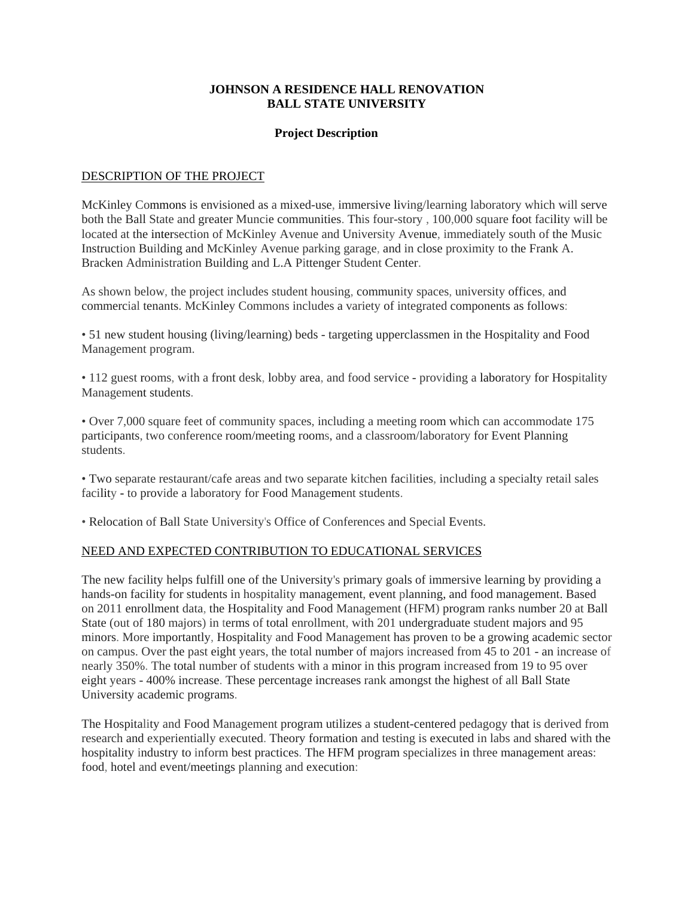## **JOHNSON A RESIDENCE HALL RENOVATION BALL STATE UNIVERSITY**

## **Project Description**

#### DESCRIPTION OF THE PROJECT

McKinley Commons is envisioned as a mixed-use, immersive living/learning laboratory which will serve both the Ball State and greater Muncie communities. This four-story , 100,000 square foot facility will be located at the intersection of McKinley Avenue and University Avenue, immediately south of the Music Instruction Building and McKinley Avenue parking garage, and in close proximity to the Frank A. Bracken Administration Building and L.A Pittenger Student Center.

As shown below, the project includes student housing, community spaces, university offices, and commercial tenants. McKinley Commons includes a variety of integrated components as follows:

• 51 new student housing (living/learning) beds - targeting upperclassmen in the Hospitality and Food Management program.

• 112 guest rooms, with a front desk, lobby area, and food service - providing a laboratory for Hospitality Management students.

• Over 7,000 square feet of community spaces, including a meeting room which can accommodate 175 participants, two conference room/meeting rooms, and a classroom/laboratory for Event Planning students.

• Two separate restaurant/cafe areas and two separate kitchen facilities, including a specialty retail sales facility - to provide a laboratory for Food Management students.

• Relocation of Ball State University's Office of Conferences and Special Events.

#### NEED AND EXPECTED CONTRIBUTION TO EDUCATIONAL SERVICES

The new facility helps fulfill one of the University's primary goals of immersive learning by providing a hands-on facility for students in hospitality management, event planning, and food management. Based on 2011 enrollment data, the Hospitality and Food Management (HFM) program ranks number 20 at Ball State (out of 180 majors) in terms of total enrollment, with 201 undergraduate student majors and 95 minors. More importantly, Hospitality and Food Management has proven to be a growing academic sector on campus. Over the past eight years, the total number of majors increased from 45 to 201 - an increase of nearly 350%. The total number of students with a minor in this program increased from 19 to 95 over eight years - 400% increase. These percentage increases rank amongst the highest of all Ball State University academic programs.

The Hospitality and Food Management program utilizes a student-centered pedagogy that is derived from research and experientially executed. Theory formation and testing is executed in labs and shared with the hospitality industry to inform best practices. The HFM program specializes in three management areas: food, hotel and event/meetings planning and execution: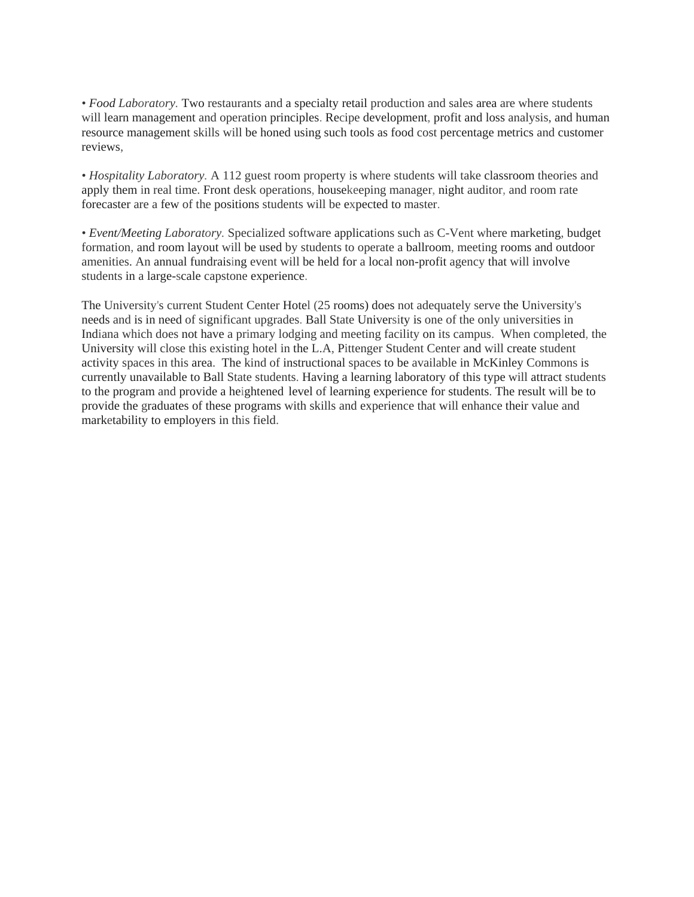*• Food Laboratory.* Two restaurants and a specialty retail production and sales area are where students will learn management and operation principles. Recipe development, profit and loss analysis, and human resource management skills will be honed using such tools as food cost percentage metrics and customer reviews,

*• Hospitality Laboratory.* A 112 guest room property is where students will take classroom theories and apply them in real time. Front desk operations, housekeeping manager, night auditor, and room rate forecaster are a few of the positions students will be expected to master.

*• Event/Meeting Laboratory.* Specialized software applications such as C-Vent where marketing, budget formation, and room layout will be used by students to operate a ballroom, meeting rooms and outdoor amenities. An annual fundraising event will be held for a local non-profit agency that will involve students in a large-scale capstone experience.

The University's current Student Center Hotel (25 rooms) does not adequately serve the University's needs and is in need of significant upgrades. Ball State University is one of the only universities in Indiana which does not have a primary lodging and meeting facility on its campus. When completed, the University will close this existing hotel in the L.A, Pittenger Student Center and will create student activity spaces in this area. The kind of instructional spaces to be available in McKinley Commons is currently unavailable to Ball State students. Having a learning laboratory of this type will attract students to the program and provide a heightened level of learning experience for students. The result will be to provide the graduates of these programs with skills and experience that will enhance their value and marketability to employers in this field.